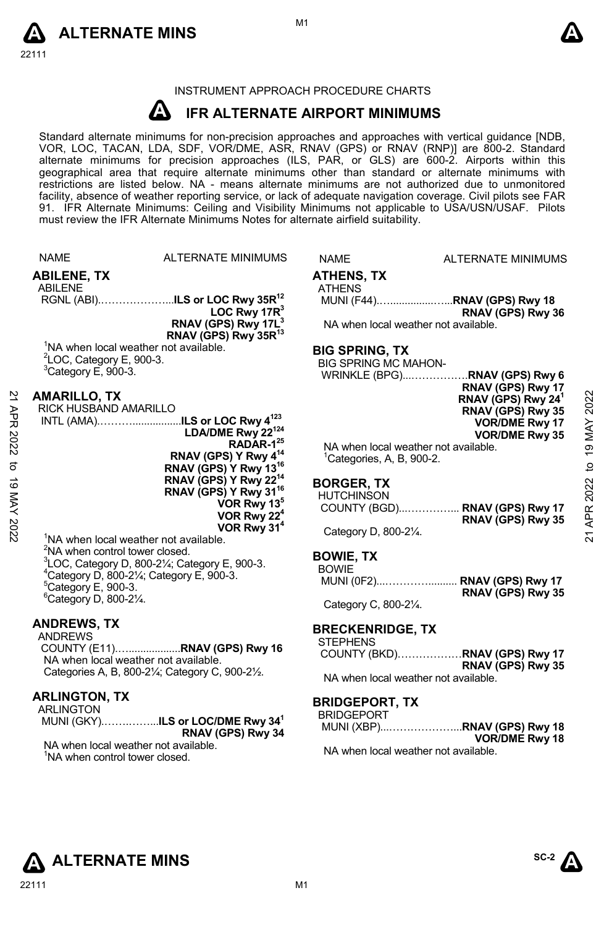



# INSTRUMENT APPROACH PROCEDURE CHARTS

#### **A IFR ALTERNATE AIRPORT MINIMUMS**

Standard alternate minimums for non-precision approaches and approaches with vertical guidance [NDB,<br>VOR, LOC, TACAN, LDA, SDF, VOR/DME, ASR, RNAV (GPS) or RNAV (RNP)] are 800-2. Standard<br>alternate minimums for precision a geographical area that require alternate minimums other than standard or alternate minimums with restrictions are listed below. NA - means alternate minimums are not authorized due to unmonitored facility, absence of weather reporting service, or lack of adequate navigation coverage. Civil pilots see FAR 91. IFR Alternate Minimums: Ceiling and Visibility Minimums not applicable to USA/USN/USAF. Pilots must review the IFR Alternate Minimums Notes for alternate airfield suitability.

|             | <b>NAME</b>                                                                      | <b>ALTERNATE MINIMUMS</b>                                          | <b>NAME</b>                           | <b>ALTERNATE MINIMUMS</b>                                     |             |
|-------------|----------------------------------------------------------------------------------|--------------------------------------------------------------------|---------------------------------------|---------------------------------------------------------------|-------------|
|             | <b>ABILENE, TX</b>                                                               |                                                                    | <b>ATHENS, TX</b>                     |                                                               |             |
|             | ABILENE                                                                          |                                                                    | <b>ATHENS</b>                         | MUNI (F44)RNAV (GPS) Rwy 18                                   |             |
|             |                                                                                  | LOC Rwy $17R3$                                                     |                                       | RNAV (GPS) Rwy 36                                             |             |
|             |                                                                                  | RNAV (GPS) Rwy 17L <sup>3</sup>                                    |                                       | NA when local weather not available.                          |             |
|             |                                                                                  | RNAV (GPS) Rwy 35R <sup>13</sup>                                   |                                       |                                                               |             |
|             | <sup>1</sup> NA when local weather not available.<br>$2$ LOC, Category E, 900-3. |                                                                    | <b>BIG SPRING, TX</b>                 |                                                               |             |
|             | $3$ Category E, 900-3.                                                           |                                                                    | <b>BIG SPRING MC MAHON-</b>           |                                                               |             |
|             |                                                                                  |                                                                    |                                       | RNAV (GPS) Rwy 17                                             |             |
| 2           | <b>AMARILLO, TX</b>                                                              |                                                                    |                                       | RNAV (GPS) Rwy 24 <sup>1</sup>                                | 2022        |
| APR         | RICK HUSBAND AMARILLO                                                            | INTL (AMA)ILS or LOC Rwy 4 <sup>123</sup>                          |                                       | RNAV (GPS) Rwy 35<br><b>VOR/DME Rwy 17</b>                    |             |
|             |                                                                                  | LDA/DME Rwy 22 <sup>124</sup>                                      |                                       | <b>VOR/DME Rwy 35</b>                                         | <b>ANN6</b> |
| 2022        |                                                                                  | RADAR-1 <sup>25</sup>                                              |                                       | NA when local weather not available.                          |             |
| đ           |                                                                                  | RNAV (GPS) Y Rwy $4^{14}$<br>RNAV (GPS) Y Rwy 13 <sup>16</sup>     | <sup>1</sup> Categories, A, B, 900-2. |                                                               | þ           |
|             |                                                                                  | RNAV (GPS) Y Rwy 22 <sup>14</sup>                                  | <b>BORGER TX</b>                      |                                                               |             |
| 19 MAY 2022 |                                                                                  | RNAV (GPS) Y Rwy 31 <sup>16</sup>                                  | <b>HUTCHINSON</b>                     |                                                               | 2022        |
|             |                                                                                  | VOR Rwy 13 <sup>5</sup><br>VOR Rwy 22 <sup>4</sup>                 |                                       | COUNTY (BGD) RNAV (GPS) Rwy 17                                | APR:        |
|             |                                                                                  | VOR Rwy 31 <sup>4</sup>                                            | Category D, 800-21/4.                 | RNAV (GPS) Rwy 35                                             |             |
|             | <sup>1</sup> NA when local weather not available.                                |                                                                    |                                       |                                                               | ম           |
|             | <sup>2</sup> NA when control tower closed.                                       | ${}^{3}$ LOC, Category D, 800-2 $\frac{1}{4}$ ; Category E, 900-3. | <b>BOWIE, TX</b>                      |                                                               |             |
|             | $4$ Category D, 800-2 $\frac{1}{4}$ ; Category E, 900-3.                         |                                                                    | <b>BOWIE</b>                          |                                                               |             |
|             | $5$ Category E, 900-3.                                                           |                                                                    |                                       | MUNI (0F2) RNAV (GPS) Rwy 17<br>RNAV (GPS) Rwy 35             |             |
|             | <sup>6</sup> Category D, 800-21/4.                                               |                                                                    | Category C, 800-21/4.                 |                                                               |             |
|             | <b>ANDREWS, TX</b>                                                               |                                                                    |                                       |                                                               |             |
|             | <b>ANDREWS</b>                                                                   |                                                                    | <b>BRECKENRIDGE, TX</b>               |                                                               |             |
|             |                                                                                  |                                                                    | <b>STEPHENS</b>                       | COUNTY (BKD)RNAV (GPS) Rwy 17                                 |             |
|             | NA when local weather not available.                                             | Categories A, B, 800-21/4; Category C, 900-21/2.                   |                                       | RNAV (GPS) Rwy 35                                             |             |
|             |                                                                                  |                                                                    |                                       | NA when local weather not available.                          |             |
|             | <b>ARLINGTON, TX</b>                                                             |                                                                    | <b>BRIDGEPORT, TX</b>                 |                                                               |             |
|             | <b>ARLINGTON</b>                                                                 |                                                                    | <b>BRIDGEPORT</b>                     |                                                               |             |
|             |                                                                                  | MUNI (GKY)ILS or LOC/DME Rwy 34 <sup>1</sup><br>RNAV (GPS) Rwy 34  |                                       | MUNI (XBP)RNAV (GPS) Rwy 18                                   |             |
|             | NA when local weather not available.                                             |                                                                    |                                       | <b>VOR/DME Rwy 18</b><br>NA when local weather not available. |             |
|             | <sup>1</sup> NA when control tower closed.                                       |                                                                    |                                       |                                                               |             |
|             |                                                                                  |                                                                    |                                       |                                                               |             |
|             |                                                                                  |                                                                    |                                       |                                                               |             |



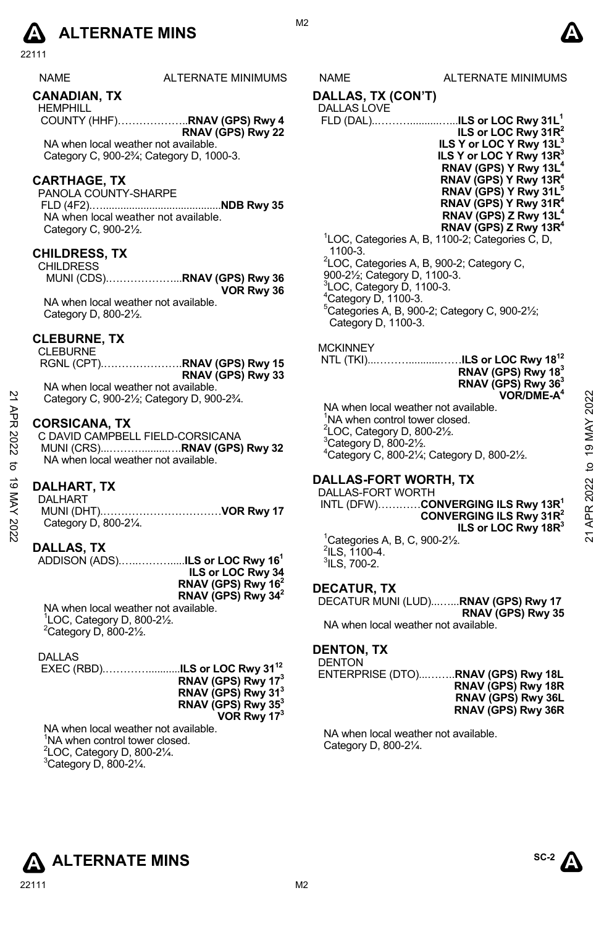# **A** ALTERNATE MINS  $\qquad \qquad \blacksquare$

22111

| <b>NAME</b> | <b>ALTERNATE MINIMUM</b> |
|-------------|--------------------------|
|             |                          |

# **CANADIAN, TX**

HEMPHILL COUNTY (HHF)………………..**RNAV (GPS) Rwy 4 RNAV (GPS) Rwy 22**

NA when local weather not available. Category C, 900-2¾; Category D, 1000-3.

# **CARTHAGE, TX**

PANOLA COUNTY-SHARPE FLD (4F2).….........................................**NDB Rwy 35**  NA when local weather not available. Category C, 900-2½.

# **CHILDRESS, TX**

CHILDRESS MUNI (CDS).………………...**RNAV (GPS) Rwy 36 VOR Rwy 36** 

NA when local weather not available. Category D, 800-2½.

# **CLEBURNE, TX**

CLEBURNE

RGNL (CPT).………………….**RNAV (GPS) Rwy 15 RNAV (GPS) Rwy 33**  NA when local weather not available.

Category C, 900-2½; Category D, 900-2¾.

#### **CORSICANA, TX**

C DAVID CAMPBELL FIELD-CORSICANA MUNI (CRS)...……….........….**RNAV (GPS) Rwy 32** NA when local weather not available.

#### **DALHART, TX**

DALHART MUNI (DHT).……………………………**VOR Rwy 17**  Category D, 800-2¼.

# **DALLAS, TX**

ADDISON (ADS).…..……….....**ILS or LOC Rwy 161 ILS or LOC Rwy 34 RNAV (GPS) Rwy 162 RNAV (GPS) Rwy 342** NA when local weather not available.

1 LOC, Category D, 800-2½.  $2$ Category D, 800-2 $\frac{1}{2}$ .

DALLAS

| RNAV (GPS) Rwy 17 <sup>3</sup> |
|--------------------------------|
| RNAV (GPS) Rwy 31 <sup>3</sup> |
| RNAV (GPS) Rwy 35 <sup>3</sup> |
| VOR Rwy 173                    |

NA when local weather not available. <sup>1</sup>NA when control tower closed.  ${}^{2}$ LOC, Category D, 800-2 $\frac{1}{4}$ .  $3$ Category D, 800-21⁄4.

# S NAME ALTERNATE MINIMUMS

**DALLAS, TX (CON'T)** 

# DALLAS LOVE

| ILS or LOC Rwy $31R^2$                            |
|---------------------------------------------------|
| ILS Y or LOC Y Rwy 13L <sup>3</sup>               |
| ILS Y or LOC Y Rwy 13R <sup>3</sup>               |
| RNAV (GPS) Y Rwy 13L <sup>4</sup>                 |
| RNAV (GPS) Y Rwy 13R <sup>4</sup>                 |
| RNAV (GPS) Y Rwy 31L <sup>5</sup>                 |
| RNAV (GPS) Y Rwy 31R <sup>4</sup>                 |
| RNAV (GPS) Z Rwy 13L <sup>4</sup>                 |
| RNAV (GPS) Z Rwy 13R <sup>4</sup>                 |
| $11$ OC. Categories A, B, 1100-2: Categories C, D |

**k, p, 1100-∠; Cat** 1100-3. <sup>2</sup>LOC, Categories A, B, 900-2; Category C, 900-2½; Category D, 1100-3.  $3$ LOC, Category D, 1100-3.  $4$ Category D, 1100-3. 5 Categories A, B, 900-2; Category C, 900-2½; Category D, 1100-3.

#### **MCKINNEY**

 NTL (TKI)...………...........……**ILS or LOC Rwy 1812 RNAV (GPS) Rwy 183 RNAV (GPS) Rwy 363 VOR/DME-A4**

NA when local weather not available. <sup>1</sup>NA when control tower closed.  $2$ LOC, Category D, 800-2 $\frac{1}{2}$ .  $3$ Category D, 800-2 $\frac{1}{2}$ . 4 Category C, 800-2¼; Category D, 800-2½.

# **DALLAS-FORT WORTH, TX**

DALLAS-FORT WORTH INTL (DFW)…………**CONVERGING ILS Rwy 13R1 CONVERGING ILS Rwy 31R2 ILS or LOC Rwy 18R3** 1 Categories A, B, C, 900-2½.  $2$ ILS, 1100-4.  $^3$ ILS, 700-2. Category C, 900-2½; Category D, 900-2¾<br>
21 CORSICANA, TX<br>
22 CORSICANA, TX<br>
22 COAVID CAMPBELL FIELD-CORSICANA<br>
22 COAVID CAMPBELL FIELD-CORSICANA<br>
23 COAVID CAMPBELL FIELD-CORSICANA<br>
23 Category D, 800-2½.<br>
23 Category D

# **DECATUR, TX**

DECATUR MUNI (LUD)...…...**RNAV (GPS) Rwy 17 RNAV (GPS) Rwy 35**  NA when local weather not available.

# **DENTON, TX**

**DENTON** 

ENTERPRISE (DTO)...……..**RNAV (GPS) Rwy 18L RNAV (GPS) Rwy 18R RNAV (GPS) Rwy 36L RNAV (GPS) Rwy 36R** 

NA when local weather not available. Category D, 800-2¼.



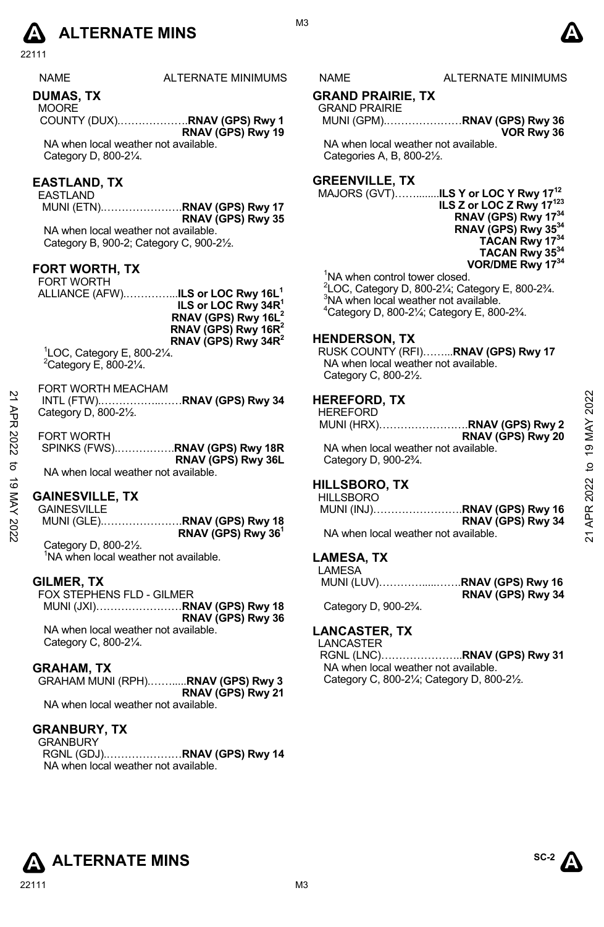# **A** ALTERNATE MINS  $\bullet$

22111

NAME ALTERNATE MINIMUMS NAME ALTERNATE MINIMUMS

# **DUMAS, TX**

**MOORE** COUNTY (DUX).……………….**RNAV (GPS) Rwy 1 RNAV (GPS) Rwy 19** 

NA when local weather not available. Category D, 800-2¼.

# **EASTLAND, TX**

EASTLAND MUNI (ETN).………………….**RNAV (GPS) Rwy 17 RNAV (GPS) Rwy 35** 

NA when local weather not available. Category B, 900-2; Category C, 900-2½.

#### **FORT WORTH, TX**

FORT WORTH ALLIANCE (AFW).…………...**ILS or LOC Rwy 16L1 ILS or LOC Rwy 34R1 RNAV (GPS) Rwy 16L2 RNAV (GPS) Rwy 16R2 RNAV (GPS) Rwy 34R2**

1 LOC, Category E, 800-2¼.  $2$ Category E, 800-2 $\frac{1}{4}$ .

#### FORT WORTH MEACHAM

#### **GAINESVILLE, TX**

MUNI (GLE).………………….**RNAV (GPS) Rwy 18 RNAV (GPS) Rwy 361**  Category D, 800-2½.

<sup>1</sup>NA when local weather not available.

# **GILMER, TX**

FOX STEPHENS FLD - GILMER MUNI (JXI)……………………**RNAV (GPS) Rwy 18 RNAV (GPS) Rwy 36**  NA when local weather not available. Category C, 800-2¼.

#### **GRAHAM, TX**

GRAHAM MUNI (RPH).…….....**RNAV (GPS) Rwy 3 RNAV (GPS) Rwy 21**  NA when local weather not available.

#### **GRANBURY, TX**

GRANBURY

RGNL (GDJ).…………………**RNAV (GPS) Rwy 14**  NA when local weather not available.

# **GRAND PRAIRIE, TX**

GRAND PRAIRIE MUNI (GPM).…………………**RNAV (GPS) Rwy 36 VOR Rwy 36** 

NA when local weather not available. Categories A, B, 800-2½.

# **GREENVILLE, TX**

MAJORS (GVT)……........**ILS Y or LOC Y Rwy 1712 ILS Z or LOC Z Rwy 17123 RNAV (GPS) Rwy 1734 RNAV (GPS) Rwy 3534 TACAN Rwy 1734 TACAN Rwy 3534 VOR/DME Rwy 1734** 

<sup>1</sup>NA when control tower closed.

 $^{2}$ LOC, Category D, 800-2¼; Category E, 800-2¾. <sup>3</sup>NA when local weather not available.

4 Category D, 800-2¼; Category E, 800-2¾.

### **HENDERSON, TX**

RUSK COUNTY (RFI)……...**RNAV (GPS) Rwy 17**  NA when local weather not available. Category C, 800-2½.

#### **HEREFORD, TX**

| 2<br>АPR | Category D, 800-21/2.                | <b>HEREFORD, TX</b><br><b>HEREFORD</b>          | 2022           |
|----------|--------------------------------------|-------------------------------------------------|----------------|
|          |                                      | MUNI (HRX)RNAV (GPS) Rwy 2                      | MAY            |
|          | <b>FORT WORTH</b>                    | RNAV (GPS) Rwy 20                               |                |
| 2022     | SPINKS (FWS)RNAV (GPS) Rwy 18R       | NA when local weather not available.            | $\overline{9}$ |
| ಕ        | RNAV (GPS) Rwy 36L                   | Category D, 900-2 <sup>3</sup> / <sub>4</sub> . | ₫              |
|          | NA when local weather not available. |                                                 |                |
| ಕ        |                                      | <b>HILLSBORO, TX</b>                            |                |
|          | <b>GAINESVILLE, TX</b>               | <b>HILLSBORO</b>                                | 2022           |
| KAY      | <b>GAINESVILLE</b>                   | MUNI (INJ)RNAV (GPS) Rwy 16                     | APR.           |
|          |                                      | RNAV (GPS) Rwy 34                               |                |
| 2022     | RNAV (GPS) Rwy 36 <sup>1</sup>       | NA when local weather not available.            | ম              |
|          |                                      |                                                 |                |

# **HILLSBORO, TX**

| <b>HILLSBORO</b>                     |                             |
|--------------------------------------|-----------------------------|
|                                      | MUNI (INJ)RNAV (GPS) Rwy 16 |
|                                      | RNAV (GPS) Rwy 34           |
| NA when local weather not available. |                             |

#### **LAMESA, TX**

LAMESA MUNI (LUV)………….....…….**RNAV (GPS) Rwy 16 RNAV (GPS) Rwy 34**  Category D, 900-2¾.

# **LANCASTER, TX**

LANCASTER

RGNL (LNC)…………………..**RNAV (GPS) Rwy 31**  NA when local weather not available. Category C, 800-2¼; Category D, 800-2½.

**ALTERNATE MINS** 





M3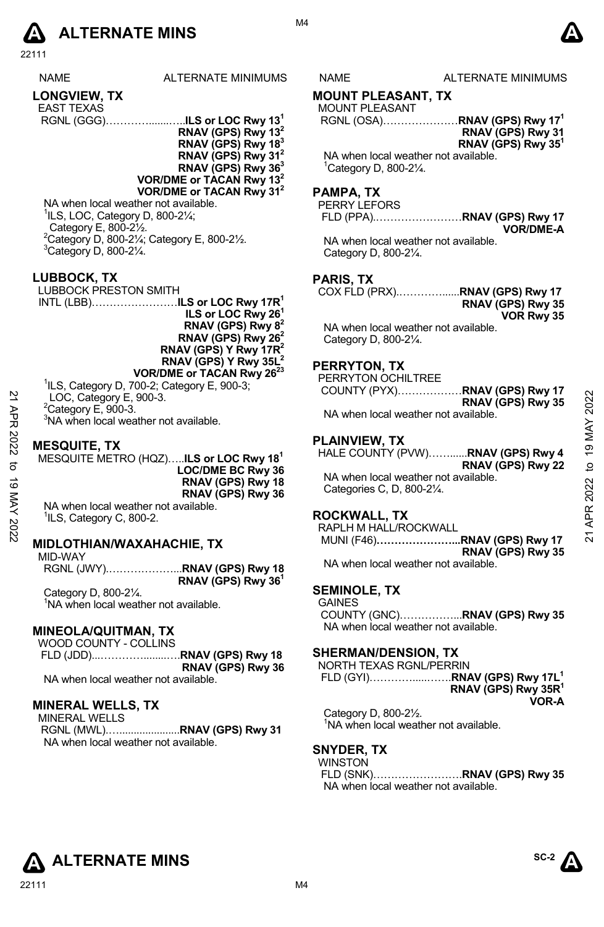

22111

| <b>NAMF</b>         | <b>ALTERNATE MINI</b> |
|---------------------|-----------------------|
| <b>LONGVIEW, TX</b> |                       |

- EAST TEXAS
- RGNL (GGG)………….......…..**ILS or LOC Rwy 131 RNAV (GPS) Rwy 132 RNAV (GPS) Rwy 183**
	- **RNAV (GPS) Rwy 312**
	- **RNAV (GPS) Rwy 363**
	- **VOR/DME or TACAN Rwy 132 VOR/DME or TACAN Rwy 312**

NA when local weather not available.  ${}^{1}$ ILS, LOC, Category D, 800-2 $\frac{1}{4}$ ; Category E, 800-2½.  $2^2$ Category D, 800-21/<sub>4</sub>; Category E, 800-21/2.  $3$ Category D, 800-2 $\frac{1}{4}$ .

**LUBBOCK, TX** 

LUBBOCK PRESTON SMITH INTL (LBB)……………………**ILS or LOC Rwy 17R1 ILS or LOC Rwy 261 RNAV (GPS) Rwy 82 RNAV (GPS) Rwy 262 RNAV (GPS) Y Rwy 17R2 RNAV (GPS) Y Rwy 35L2 VOR/DME or TACAN Rwy 2623**

1 ILS, Category D, 700-2; Category E, 900-3;

LOC, Category E, 900-3.

 $2$ Category E, 900-3.

<sup>3</sup>NA when local weather not available.

### **MESQUITE, TX**

MESQUITE METRO (HQZ)…..**ILS or LOC Rwy 181 LOC/DME BC Rwy 36 RNAV (GPS) Rwy 18 RNAV (GPS) Rwy 36**  NA when local weather not available. <sup>1</sup>ILS, Category C, 800-2. 21 APR 2022 to 19 MAY 202221 APR 2022 to 19 MAY 2022

# **MIDLOTHIAN/WAXAHACHIE, TX**

MID-WAY RGNL (JWY).………………...**RNAV (GPS) Rwy 18 RNAV (GPS) Rwy 361** 

Category D, 800-2¼. <sup>1</sup>NA when local weather not available.

# **MINEOLA/QUITMAN, TX**

WOOD COUNTY - COLLINS FLD (JDD)...…………........….**RNAV (GPS) Rwy 18 RNAV (GPS) Rwy 36**  NA when local weather not available.

# **MINERAL WELLS, TX**

MINERAL WELLS RGNL (MWL).….....................**RNAV (GPS) Rwy 31**  NA when local weather not available.

M4

# MUMS NAME ALTERNATE MINIMUMS

# **MOUNT PLEASANT, TX**

MOUNT PLEASANT RGNL (OSA)…………………**RNAV (GPS) Rwy 171 RNAV (GPS) Rwy 31 RNAV (GPS) Rwy 351** 

NA when local weather not available. 1 Category D, 800-2¼.

# **PAMPA, TX**

PERRY LEFORS FLD (PPA).……………………**RNAV (GPS) Rwy 17 VOR/DME-A** 

NA when local weather not available. Category D, 800-2¼.

# **PARIS, TX**

COX FLD (PRX).…………......**RNAV (GPS) Rwy 17 RNAV (GPS) Rwy 35 VOR Rwy 35**  NA when local weather not available.

Category D, 800-2¼.

# **PERRYTON, TX**

PERRYTON OCHILTREE COUNTY (PYX)………………**RNAV (GPS) Rwy 17 RNAV (GPS) Rwy 35**  NA when local weather not available.

# **PLAINVIEW, TX**

HALE COUNTY (PVW)……......**RNAV (GPS) Rwy 4 RNAV (GPS) Rwy 22**  NA when local weather not available.

Categories C, D, 800-2¼.

# **ROCKWALL, TX**

RAPLH M HALL/ROCKWALL MUNI (F46)**…………………...RNAV (GPS) Rwy 17 RNAV (GPS) Rwy 35** 

NA when local weather not available.

# **SEMINOLE, TX**

GAINES COUNTY (GNC)……………...**RNAV (GPS) Rwy 35**  NA when local weather not available.

# **SHERMAN/DENSION, TX**

| NORTH TEXAS RGNL/PERRIN                             |                                 |
|-----------------------------------------------------|---------------------------------|
|                                                     |                                 |
|                                                     | RNAV (GPS) Rwy 35R <sup>1</sup> |
|                                                     | VOR-A                           |
| $C_{\text{a}to\text{a}on}$ , $D_{\text{a}00}$ $21/$ |                                 |

Category D, 800-2½. <sup>1</sup>NA when local weather not available.

# **SNYDER, TX**

WINSTON

FLD (SNK)…………………….**RNAV (GPS) Rwy 35**  NA when local weather not available.